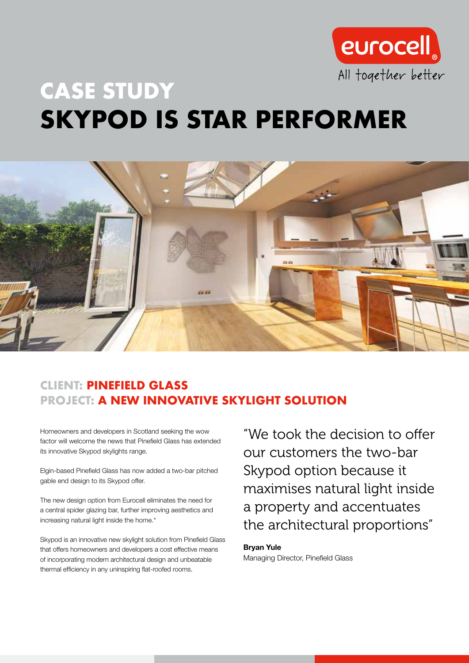

## CASE STUDY SKYPOD IS STAR PERFORMER



## CLIENT: PINEFIELD GLASS PROJECT: A NEW INNOVATIVE SKYLIGHT SOLUTION

Homeowners and developers in Scotland seeking the wow factor will welcome the news that Pinefield Glass has extended its innovative Skypod skylights range.

Elgin-based Pinefield Glass has now added a two-bar pitched gable end design to its Skypod offer.

The new design option from Eurocell eliminates the need for a central spider glazing bar, further improving aesthetics and increasing natural light inside the home.\*

Skypod is an innovative new skylight solution from Pinefield Glass that offers homeowners and developers a cost effective means of incorporating modern architectural design and unbeatable thermal efficiency in any uninspiring flat-roofed rooms.

"We took the decision to offer our customers the two-bar Skypod option because it maximises natural light inside a property and accentuates the architectural proportions"

## Bryan Yule

Managing Director, Pinefield Glass